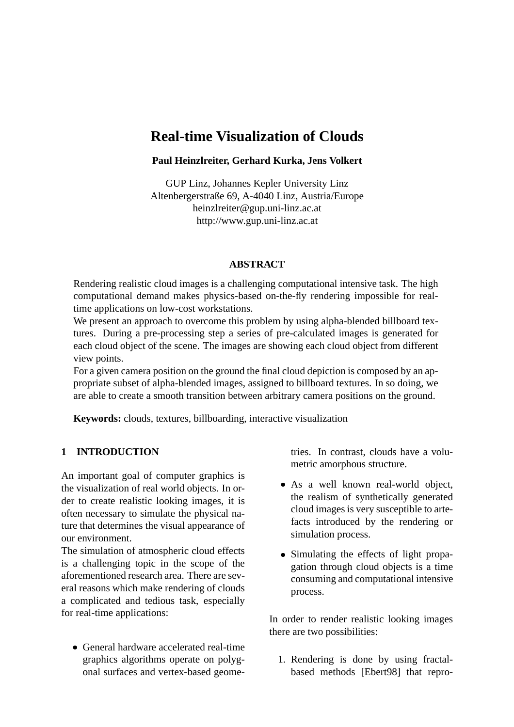# **Real-time Visualization of Clouds**

## **Paul Heinzlreiter, Gerhard Kurka, Jens Volkert**

GUP Linz, Johannes Kepler University Linz Altenbergerstraße 69, A-4040 Linz, Austria/Europe heinzlreiter@gup.uni-linz.ac.at http://www.gup.uni-linz.ac.at

### **ABSTRACT**

Rendering realistic cloud images is a challenging computational intensive task. The high computational demand makes physics-based on-the-fly rendering impossible for realtime applications on low-cost workstations.

We present an approach to overcome this problem by using alpha-blended billboard textures. During a pre-processing step a series of pre-calculated images is generated for each cloud object of the scene. The images are showing each cloud object from different view points.

For a given camera position on the ground the final cloud depiction is composed by an appropriate subset of alpha-blended images, assigned to billboard textures. In so doing, we are able to create a smooth transition between arbitrary camera positions on the ground.

**Keywords:** clouds, textures, billboarding, interactive visualization

# **1 INTRODUCTION**

An important goal of computer graphics is the visualization of real world objects. In order to create realistic looking images, it is often necessary to simulate the physical nature that determines the visual appearance of our environment.

The simulation of atmospheric cloud effects is a challenging topic in the scope of the aforementioned research area. There are several reasons which make rendering of clouds a complicated and tedious task, especially for real-time applications:

 General hardware accelerated real-time graphics algorithms operate on polygonal surfaces and vertex-based geometries. In contrast, clouds have a volumetric amorphous structure.

- As a well known real-world object, the realism of synthetically generated cloud images is very susceptible to artefacts introduced by the rendering or simulation process.
- Simulating the effects of light propagation through cloud objects is a time consuming and computational intensive process.

In order to render realistic looking images there are two possibilities:

1. Rendering is done by using fractalbased methods [Ebert98] that repro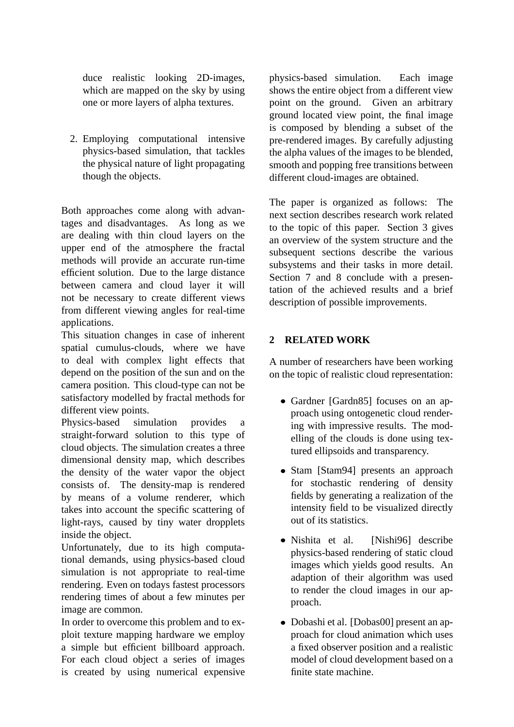duce realistic looking 2D-images, which are mapped on the sky by using one or more layers of alpha textures.

2. Employing computational intensive physics-based simulation, that tackles the physical nature of light propagating though the objects.

Both approaches come along with advantages and disadvantages. As long as we are dealing with thin cloud layers on the upper end of the atmosphere the fractal methods will provide an accurate run-time efficient solution. Due to the large distance between camera and cloud layer it will not be necessary to create different views from different viewing angles for real-time applications.

This situation changes in case of inherent spatial cumulus-clouds, where we have to deal with complex light effects that depend on the position of the sun and on the camera position. This cloud-type can not be satisfactory modelled by fractal methods for different view points.

Physics-based simulation provides a straight-forward solution to this type of cloud objects. The simulation creates a three dimensional density map, which describes the density of the water vapor the object consists of. The density-map is rendered by means of a volume renderer, which takes into account the specific scattering of light-rays, caused by tiny water dropplets inside the object.

Unfortunately, due to its high computational demands, using physics-based cloud simulation is not appropriate to real-time rendering. Even on todays fastest processors rendering times of about a few minutes per image are common.

In order to overcome this problem and to exploit texture mapping hardware we employ a simple but efficient billboard approach. For each cloud object a series of images is created by using numerical expensive physics-based simulation. Each image shows the entire object from a different view point on the ground. Given an arbitrary ground located view point, the final image is composed by blending a subset of the pre-rendered images. By carefully adjusting the alpha values of the images to be blended, smooth and popping free transitions between different cloud-images are obtained.

The paper is organized as follows: The next section describes research work related to the topic of this paper. Section 3 gives an overview of the system structure and the subsequent sections describe the various subsystems and their tasks in more detail. Section 7 and 8 conclude with a presentation of the achieved results and a brief description of possible improvements.

# **2 RELATED WORK**

A number of researchers have been working on the topic of realistic cloud representation:

- Gardner [Gardn85] focuses on an approach using ontogenetic cloud rendering with impressive results. The modelling of the clouds is done using textured ellipsoids and transparency.
- Stam [Stam94] presents an approach for stochastic rendering of density fields by generating a realization of the intensity field to be visualized directly out of its statistics.
- · Nishita et al. [Nishi96] describe physics-based rendering of static cloud images which yields good results. An adaption of their algorithm was used to render the cloud images in our approach.
- Dobashi et al. [Dobas00] present an approach for cloud animation which uses a fixed observer position and a realistic model of cloud development based on a finite state machine.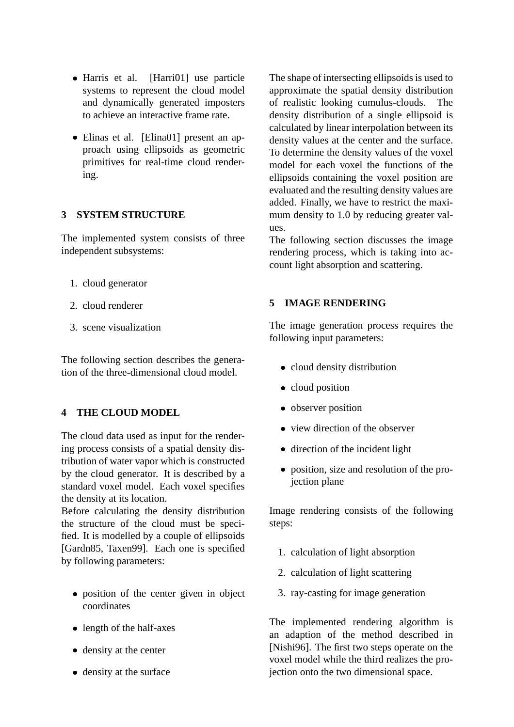- Harris et al. [Harri01] use particle systems to represent the cloud model and dynamically generated imposters to achieve an interactive frame rate.
- Elinas et al. [Elina01] present an approach using ellipsoids as geometric primitives for real-time cloud rendering.

# **3 SYSTEM STRUCTURE**

The implemented system consists of three independent subsystems:

- 1. cloud generator
- 2. cloud renderer
- 3. scene visualization

The following section describes the generation of the three-dimensional cloud model.

# **4 THE CLOUD MODEL**

The cloud data used as input for the rendering process consists of a spatial density distribution of water vapor which is constructed by the cloud generator. It is described by a standard voxel model. Each voxel specifies the density at its location.

Before calculating the density distribution the structure of the cloud must be specified. It is modelled by a couple of ellipsoids [Gardn85, Taxen99]. Each one is specified by following parameters:

- position of the center given in object coordinates
- length of the half-axes
- density at the center
- density at the surface

The shape of intersecting ellipsoids is used to approximate the spatial density distribution of realistic looking cumulus-clouds. The density distribution of a single ellipsoid is calculated by linear interpolation between its density values at the center and the surface. To determine the density values of the voxel model for each voxel the functions of the ellipsoids containing the voxel position are evaluated and the resulting density values are added. Finally, we have to restrict the maximum density to 1.0 by reducing greater values.

The following section discusses the image rendering process, which is taking into account light absorption and scattering.

## **5 IMAGE RENDERING**

The image generation process requires the following input parameters:

- cloud density distribution
- cloud position
- observer position
- view direction of the observer
- direction of the incident light
- position, size and resolution of the projection plane

Image rendering consists of the following steps:

- 1. calculation of light absorption
- 2. calculation of light scattering
- 3. ray-casting for image generation

The implemented rendering algorithm is an adaption of the method described in [Nishi96]. The first two steps operate on the voxel model while the third realizes the projection onto the two dimensional space.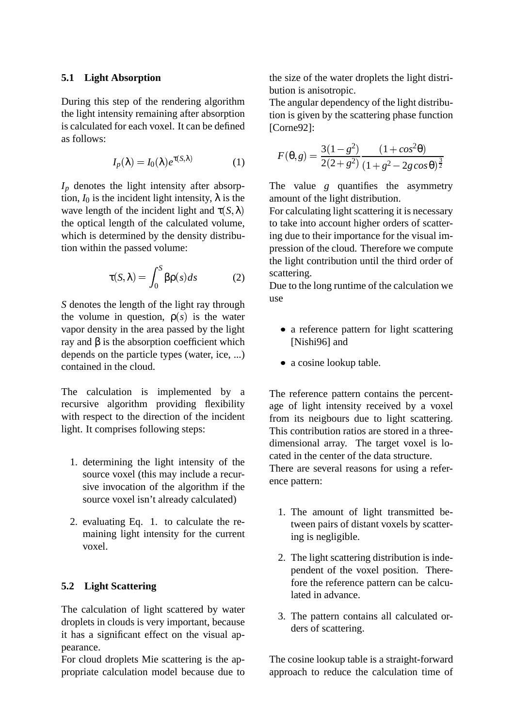#### **5.1 Light Absorption**

During this step of the rendering algorithm the light intensity remaining after absorption is calculated for each voxel. It can be defined as follows:

$$
I_p(\lambda) = I_0(\lambda) e^{\tau(S,\lambda)}
$$
 (1)

*I<sup>p</sup>* denotes the light intensity after absorption,  $I_0$  is the incident light intensity,  $\lambda$  is the wave length of the incident light and  $\tau(S, \lambda)$ the optical length of the calculated volume, which is determined by the density distribution within the passed volume:

$$
\tau(S,\lambda) = \int_0^S \beta \rho(s) ds \tag{2}
$$

*S* denotes the length of the light ray through the volume in question,  $\rho(s)$  is the water vapor density in the area passed by the light ray and β is the absorption coefficient which depends on the particle types (water, ice, ...) contained in the cloud.

The calculation is implemented by a recursive algorithm providing flexibility with respect to the direction of the incident light. It comprises following steps:

- 1. determining the light intensity of the source voxel (this may include a recursive invocation of the algorithm if the source voxel isn't already calculated)
- 2. evaluating Eq. 1. to calculate the remaining light intensity for the current voxel.

## **5.2 Light Scattering**

The calculation of light scattered by water droplets in clouds is very important, because it has a significant effect on the visual appearance.

For cloud droplets Mie scattering is the appropriate calculation model because due to the size of the water droplets the light distribution is anisotropic.

The angular dependency of the light distribution is given by the scattering phase function [Corne92]:

$$
F(\theta, g) = \frac{3(1 - g^2)}{2(2 + g^2)} \frac{(1 + \cos^2 \theta)}{(1 + g^2 - 2g \cos \theta)^{\frac{3}{2}}}
$$

The value *g* quantifies the asymmetry amount of the light distribution.

For calculating light scattering it is necessary to take into account higher orders of scattering due to their importance for the visual impression of the cloud. Therefore we compute the light contribution until the third order of scattering.

Due to the long runtime of the calculation we use

- a reference pattern for light scattering [Nishi96] and
- a cosine lookup table.

The reference pattern contains the percentage of light intensity received by a voxel from its neigbours due to light scattering. This contribution ratios are stored in a threedimensional array. The target voxel is located in the center of the data structure. There are several reasons for using a reference pattern:

- 1. The amount of light transmitted between pairs of distant voxels by scattering is negligible.
- 2. The light scattering distribution is independent of the voxel position. Therefore the reference pattern can be calculated in advance.
- 3. The pattern contains all calculated orders of scattering.

The cosine lookup table is a straight-forward approach to reduce the calculation time of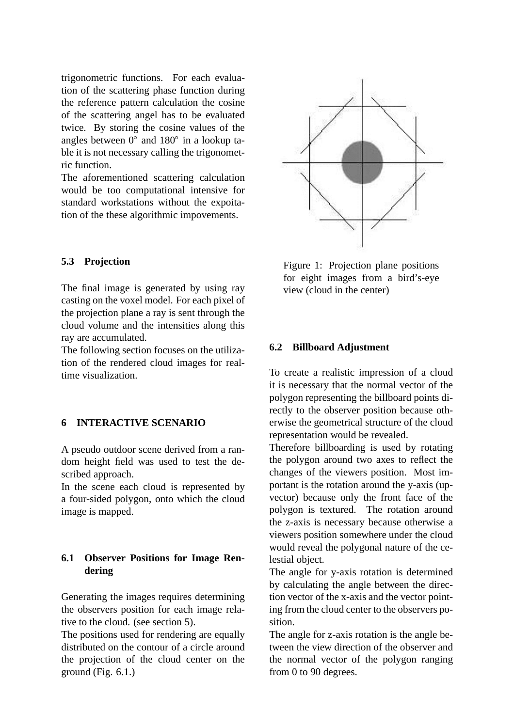trigonometric functions. For each evaluation of the scattering phase function during the reference pattern calculation the cosine of the scattering angel has to be evaluated twice. By storing the cosine values of the angles between  $0^{\circ}$  and  $180^{\circ}$  in a lookup table it is not necessary calling the trigonometric function.

The aforementioned scattering calculation would be too computational intensive for standard workstations without the expoitation of the these algorithmic impovements.

### **5.3 Projection**

The final image is generated by using ray casting on the voxel model. For each pixel of the projection plane a ray is sent through the cloud volume and the intensities along this ray are accumulated.

The following section focuses on the utilization of the rendered cloud images for realtime visualization.

# **6 INTERACTIVE SCENARIO**

A pseudo outdoor scene derived from a random height field was used to test the described approach.

In the scene each cloud is represented by a four-sided polygon, onto which the cloud image is mapped.

## **6.1 Observer Positions for Image Rendering**

Generating the images requires determining the observers position for each image relative to the cloud. (see section 5).

The positions used for rendering are equally distributed on the contour of a circle around the projection of the cloud center on the ground (Fig.  $6.1$ .)



Figure 1: Projection plane positions for eight images from a bird's-eye view (cloud in the center)

#### **6.2 Billboard Adjustment**

To create a realistic impression of a cloud it is necessary that the normal vector of the polygon representing the billboard points directly to the observer position because otherwise the geometrical structure of the cloud representation would be revealed.

Therefore billboarding is used by rotating the polygon around two axes to reflect the changes of the viewers position. Most important is the rotation around the y-axis (upvector) because only the front face of the polygon is textured. The rotation around the z-axis is necessary because otherwise a viewers position somewhere under the cloud would reveal the polygonal nature of the celestial object.

The angle for y-axis rotation is determined by calculating the angle between the direction vector of the x-axis and the vector pointing from the cloud center to the observers position.

The angle for z-axis rotation is the angle between the view direction of the observer and the normal vector of the polygon ranging from 0 to 90 degrees.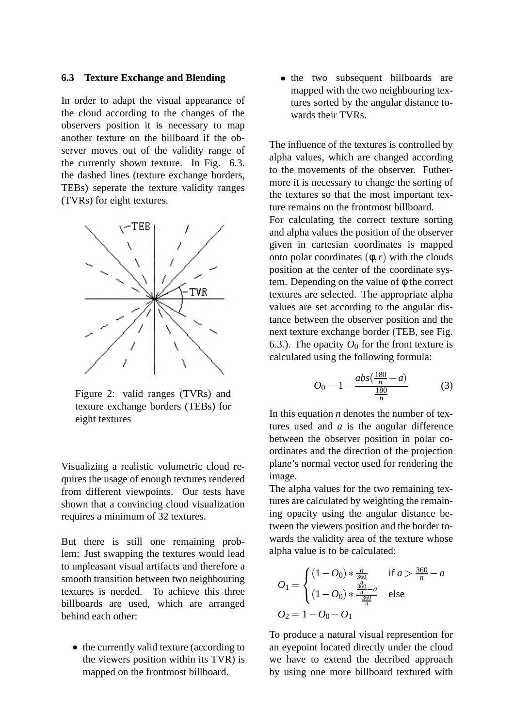#### **6.3 Texture Exchange and Blending**

In order to adapt the visual appearance of the cloud according to the changes of the observers position it is necessary to map another texture on the billboard if the observer moves out of the validity range of the currently shown texture. In Fig. 6.3. the dashed lines (texture exchange borders, TEBs) seperate the texture validity ranges (TVRs) for eight textures.



Figure 2: valid ranges (TVRs) and texture exchange borders (TEBs) for eight textures

Visualizing a realistic volumetric cloud requires the usage of enough textures rendered from different viewpoints. Our tests have shown that a convincing cloud visualization requires a minimum of 32 textures.

But there is still one remaining problem: Just swapping the textures would lead to unpleasant visual artifacts and therefore a smooth transition between two neighbouring textures is needed. To achieve this three billboards are used, which are arranged behind each other:

• the currently valid texture (according to the viewers position within its TVR) is mapped on the frontmost billboard.

• the two subsequent billboards are mapped with the two neighbouring textures sorted by the angular distance towards their TVRs.

The influence of the textures is controlled by alpha values, which are changed according to the movements of the observer. Futhermore it is necessary to change the sorting of the textures so that the most important texture remains on the frontmost billboard.

For calculating the correct texture sorting and alpha values the position of the observer given in cartesian coordinates is mapped onto polar coordinates  $(\phi, r)$  with the clouds position at the center of the coordinate system. Depending on the value of  $\phi$  the correct textures are selected. The appropriate alpha values are set according to the angular distance between the observer position and the next texture exchange border (TEB, see Fig. 6.3.). The opacity  $O_0$  for the front texture is calculated using the following formula:

$$
O_0 = 1 - \frac{abs(\frac{180}{n} - a)}{\frac{180}{n}}
$$
 (3)

In this equation *n* denotes the number of textures used and *a* is the angular difference between the observer position in polar coordinates and the direction of the projection plane's normal vector used for rendering the image.

The alpha values for the two remaining textures are calculated by weighting the remaining opacity using the angular distance between the viewers position and the border towards the validity area of the texture whose alpha value is to be calculated:

$$
O_1 = \begin{cases} (1 - O_0) * \frac{a}{\frac{360}{n}} & \text{if } a > \frac{360}{n} - a \\ (1 - O_0) * \frac{\frac{360}{n} - a}{\frac{360}{n}} & \text{else} \end{cases}
$$
  

$$
O_2 = 1 - O_0 - O_1
$$

To produce a natural visual represention for an eyepoint located directly under the cloud we have to extend the decribed approach by using one more billboard textured with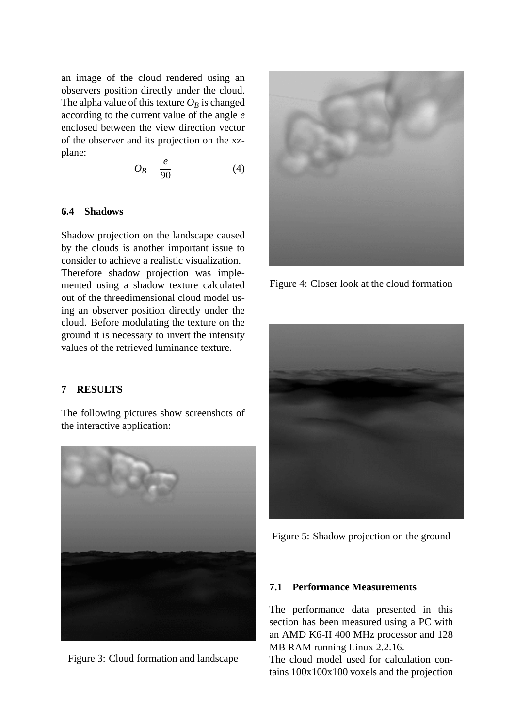an image of the cloud rendered using an observers position directly under the cloud. The alpha value of this texture  $O_B$  is changed according to the current value of the angle *e* enclosed between the view direction vector of the observer and its projection on the xzplane:

$$
O_B = \frac{e}{90} \tag{4}
$$

#### **6.4 Shadows**

Shadow projection on the landscape caused by the clouds is another important issue to consider to achieve a realistic visualization. Therefore shadow projection was implemented using a shadow texture calculated out of the threedimensional cloud model using an observer position directly under the cloud. Before modulating the texture on the ground it is necessary to invert the intensity values of the retrieved luminance texture.

#### **7 RESULTS**

The following pictures show screenshots of the interactive application:



Figure 3: Cloud formation and landscape



Figure 4: Closer look at the cloud formation



Figure 5: Shadow projection on the ground

#### **7.1 Performance Measurements**

The performance data presented in this section has been measured using a PC with an AMD K6-II 400 MHz processor and 128 MB RAM running Linux 2.2.16.

The cloud model used for calculation contains 100x100x100 voxels and the projection